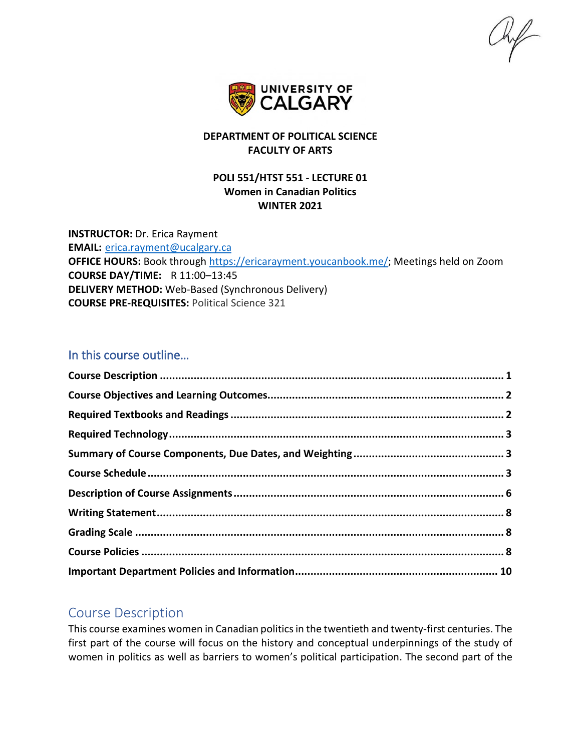$\frac{1}{2}$ 



## **DEPARTMENT OF POLITICAL SCIENCE FACULTY OF ARTS**

## **POLI 551/HTST 551 - LECTURE 01 Women in Canadian Politics WINTER 2021**

**INSTRUCTOR:** Dr. Erica Rayment **EMAIL:** [erica.rayment@ucalgary.ca](mailto:erica.rayment@ucalgary.ca) **OFFICE HOURS:** Book through [https://ericarayment.youcanbook.me/;](https://ericarayment.youcanbook.me/) Meetings held on Zoom **COURSE DAY/TIME:** R 11:00–13:45 **DELIVERY METHOD:** Web-Based (Synchronous Delivery) **COURSE PRE-REQUISITES:** Political Science 321

## In this course outline…

## <span id="page-0-0"></span>Course Description

This course examines women in Canadian politics in the twentieth and twenty-first centuries. The first part of the course will focus on the history and conceptual underpinnings of the study of women in politics as well as barriers to women's political participation. The second part of the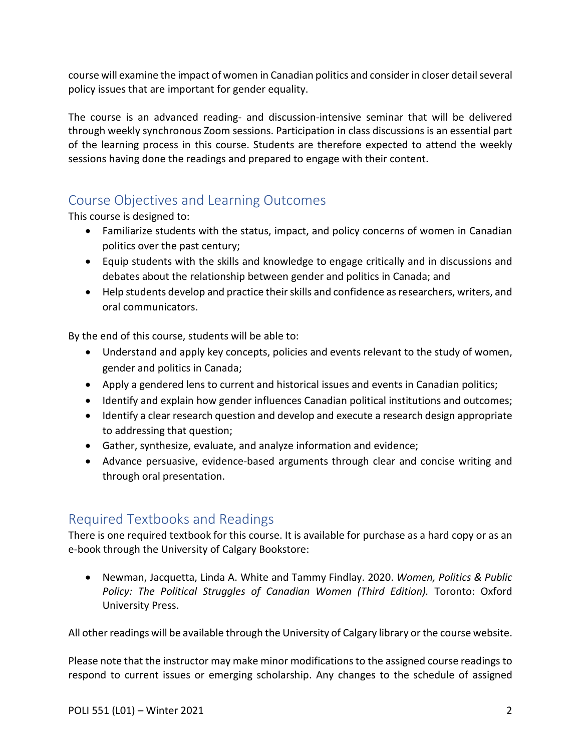course will examine the impact of women in Canadian politics and consider in closer detail several policy issues that are important for gender equality.

The course is an advanced reading- and discussion-intensive seminar that will be delivered through weekly synchronous Zoom sessions. Participation in class discussions is an essential part of the learning process in this course. Students are therefore expected to attend the weekly sessions having done the readings and prepared to engage with their content.

# <span id="page-1-0"></span>Course Objectives and Learning Outcomes

This course is designed to:

- Familiarize students with the status, impact, and policy concerns of women in Canadian politics over the past century;
- Equip students with the skills and knowledge to engage critically and in discussions and debates about the relationship between gender and politics in Canada; and
- Help students develop and practice their skills and confidence as researchers, writers, and oral communicators.

By the end of this course, students will be able to:

- Understand and apply key concepts, policies and events relevant to the study of women, gender and politics in Canada;
- Apply a gendered lens to current and historical issues and events in Canadian politics;
- Identify and explain how gender influences Canadian political institutions and outcomes;
- Identify a clear research question and develop and execute a research design appropriate to addressing that question;
- Gather, synthesize, evaluate, and analyze information and evidence;
- Advance persuasive, evidence-based arguments through clear and concise writing and through oral presentation.

# <span id="page-1-1"></span>Required Textbooks and Readings

There is one required textbook for this course. It is available for purchase as a hard copy or as an e-book through the University of Calgary Bookstore:

• Newman, Jacquetta, Linda A. White and Tammy Findlay. 2020. *Women, Politics & Public Policy: The Political Struggles of Canadian Women (Third Edition).* Toronto: Oxford University Press.

All other readings will be available through the University of Calgary library or the course website.

Please note that the instructor may make minor modifications to the assigned course readings to respond to current issues or emerging scholarship. Any changes to the schedule of assigned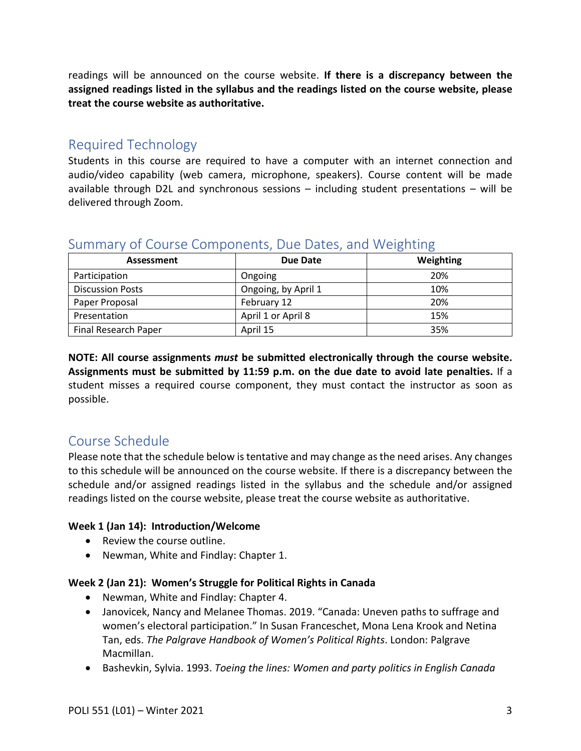readings will be announced on the course website. **If there is a discrepancy between the assigned readings listed in the syllabus and the readings listed on the course website, please treat the course website as authoritative.**

# <span id="page-2-0"></span>Required Technology

Students in this course are required to have a computer with an internet connection and audio/video capability (web camera, microphone, speakers). Course content will be made available through D2L and synchronous sessions – including student presentations – will be delivered through Zoom.

| Assessment              | Due Date            | Weighting |
|-------------------------|---------------------|-----------|
| Participation           | Ongoing             | 20%       |
| <b>Discussion Posts</b> | Ongoing, by April 1 | 10%       |
| Paper Proposal          | February 12         | 20%       |
| Presentation            | April 1 or April 8  | 15%       |
| Final Research Paper    | April 15            | 35%       |

# <span id="page-2-1"></span>Summary of Course Components, Due Dates, and Weighting

**NOTE: All course assignments** *must* **be submitted electronically through the course website. Assignments must be submitted by 11:59 p.m. on the due date to avoid late penalties.** If a student misses a required course component, they must contact the instructor as soon as possible.

# <span id="page-2-2"></span>Course Schedule

Please note that the schedule below is tentative and may change as the need arises. Any changes to this schedule will be announced on the course website. If there is a discrepancy between the schedule and/or assigned readings listed in the syllabus and the schedule and/or assigned readings listed on the course website, please treat the course website as authoritative.

## **Week 1 (Jan 14): Introduction/Welcome**

- Review the course outline.
- Newman, White and Findlay: Chapter 1.

## **Week 2 (Jan 21): Women's Struggle for Political Rights in Canada**

- Newman, White and Findlay: Chapter 4.
- Janovicek, Nancy and Melanee Thomas. 2019. "Canada: Uneven paths to suffrage and women's electoral participation." In Susan Franceschet, Mona Lena Krook and Netina Tan, eds. *The Palgrave Handbook of Women's Political Rights*. London: Palgrave Macmillan.
- Bashevkin, Sylvia. 1993. *Toeing the lines: Women and party politics in English Canada*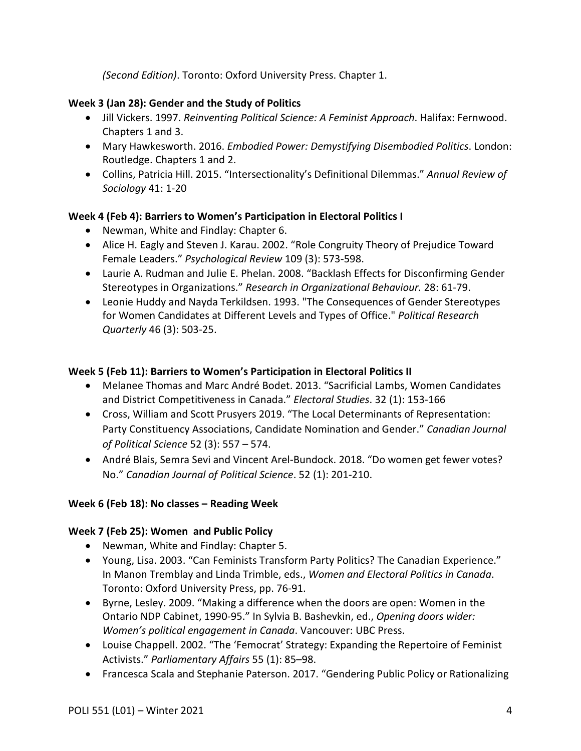*(Second Edition)*. Toronto: Oxford University Press. Chapter 1.

## **Week 3 (Jan 28): Gender and the Study of Politics**

- Jill Vickers. 1997. *Reinventing Political Science: A Feminist Approach*. Halifax: Fernwood. Chapters 1 and 3.
- Mary Hawkesworth. 2016. *Embodied Power: Demystifying Disembodied Politics*. London: Routledge. Chapters 1 and 2.
- Collins, Patricia Hill. 2015. "Intersectionality's Definitional Dilemmas." *Annual Review of Sociology* 41: 1-20

## **Week 4 (Feb 4): Barriers to Women's Participation in Electoral Politics I**

- Newman, White and Findlay: Chapter 6.
- Alice H. Eagly and Steven J. Karau. 2002. "Role Congruity Theory of Prejudice Toward Female Leaders." *Psychological Review* 109 (3): 573-598.
- Laurie A. Rudman and Julie E. Phelan. 2008. "Backlash Effects for Disconfirming Gender Stereotypes in Organizations." *Research in Organizational Behaviour.* 28: 61-79.
- Leonie Huddy and Nayda Terkildsen. 1993. "The Consequences of Gender Stereotypes for Women Candidates at Different Levels and Types of Office." *Political Research Quarterly* 46 (3): 503-25.

## **Week 5 (Feb 11): Barriers to Women's Participation in Electoral Politics II**

- Melanee Thomas and Marc André Bodet. 2013. "Sacrificial Lambs, Women Candidates and District Competitiveness in Canada." *Electoral Studies*. 32 (1): 153-166
- Cross, William and Scott Prusyers 2019. "The Local Determinants of Representation: Party Constituency Associations, Candidate Nomination and Gender." *Canadian Journal of Political Science* 52 (3): 557 – 574.
- André Blais, Semra Sevi and Vincent Arel-Bundock. 2018. "Do women get fewer votes? No." *Canadian Journal of Political Science*. 52 (1): 201-210.

## **Week 6 (Feb 18): No classes – Reading Week**

## **Week 7 (Feb 25): Women and Public Policy**

- Newman, White and Findlay: Chapter 5.
- Young, Lisa. 2003. "Can Feminists Transform Party Politics? The Canadian Experience." In Manon Tremblay and Linda Trimble, eds., *Women and Electoral Politics in Canada*. Toronto: Oxford University Press, pp. 76-91.
- Byrne, Lesley. 2009. "Making a difference when the doors are open: Women in the Ontario NDP Cabinet, 1990-95." In Sylvia B. Bashevkin, ed., *Opening doors wider: Women's political engagement in Canada*. Vancouver: UBC Press.
- Louise Chappell. 2002. "The 'Femocrat' Strategy: Expanding the Repertoire of Feminist Activists." *Parliamentary Affairs* 55 (1): 85–98.
- Francesca Scala and Stephanie Paterson. 2017. "Gendering Public Policy or Rationalizing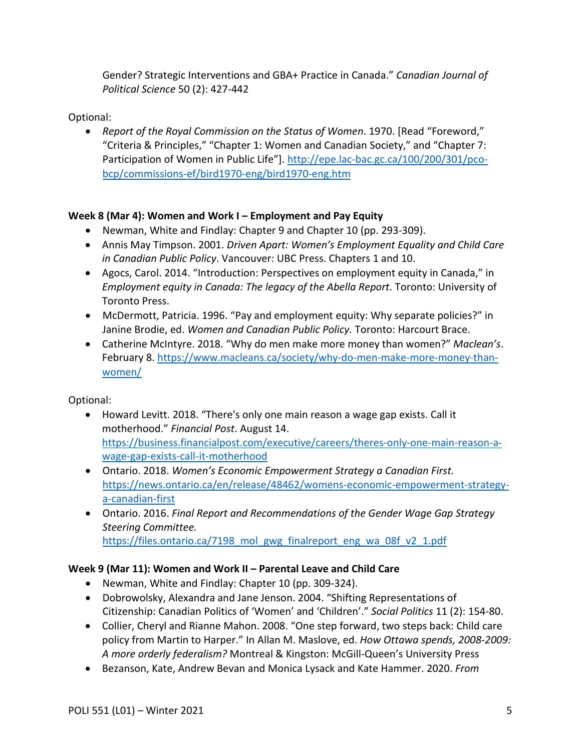Gender? Strategic Interventions and GBA+ Practice in Canada." *Canadian Journal of Political Science* 50 (2): 427-442

## Optional:

• *Report of the Royal Commission on the Status of Women*. 1970. [Read "Foreword," "Criteria & Principles," "Chapter 1: Women and Canadian Society," and "Chapter 7: Participation of Women in Public Life"]. [http://epe.lac-bac.gc.ca/100/200/301/pco](http://epe.lac-bac.gc.ca/100/200/301/pco-bcp/commissions-ef/bird1970-eng/bird1970-eng.htm)[bcp/commissions-ef/bird1970-eng/bird1970-eng.htm](http://epe.lac-bac.gc.ca/100/200/301/pco-bcp/commissions-ef/bird1970-eng/bird1970-eng.htm) 

## **Week 8 (Mar 4): Women and Work I – Employment and Pay Equity**

- Newman, White and Findlay: Chapter 9 and Chapter 10 (pp. 293-309).
- Annis May Timpson. 2001. *Driven Apart: Women's Employment Equality and Child Care in Canadian Public Policy*. Vancouver: UBC Press. Chapters 1 and 10.
- Agocs, Carol. 2014. "Introduction: Perspectives on employment equity in Canada," in *Employment equity in Canada: The legacy of the Abella Report*. Toronto: University of Toronto Press.
- McDermott, Patricia. 1996. "Pay and employment equity: Why separate policies?" in Janine Brodie, ed. *Women and Canadian Public Policy.* Toronto: Harcourt Brace.
- Catherine McIntyre. 2018. "Why do men make more money than women?" *Maclean's*. February 8. [https://www.macleans.ca/society/why-do-men-make-more-money-than](https://www.macleans.ca/society/why-do-men-make-more-money-than-women/)[women/](https://www.macleans.ca/society/why-do-men-make-more-money-than-women/)

Optional:

- Howard Levitt. 2018. "There's only one main reason a wage gap exists. Call it motherhood." *Financial Post*. August 14. [https://business.financialpost.com/executive/careers/theres-only-one-main-reason-a](https://business.financialpost.com/executive/careers/theres-only-one-main-reason-a-wage-gap-exists-call-it-motherhood)[wage-gap-exists-call-it-motherhood](https://business.financialpost.com/executive/careers/theres-only-one-main-reason-a-wage-gap-exists-call-it-motherhood)
- Ontario. 2018. *Women's Economic Empowerment Strategy a Canadian First.*  [https://news.ontario.ca/en/release/48462/womens-economic-empowerment-strategy](https://news.ontario.ca/en/release/48462/womens-economic-empowerment-strategy-a-canadian-first)[a-canadian-first](https://news.ontario.ca/en/release/48462/womens-economic-empowerment-strategy-a-canadian-first)
- Ontario. 2016. *Final Report and Recommendations of the Gender Wage Gap Strategy Steering Committee.*  https://files.ontario.ca/7198 mol\_gwg\_finalreport\_eng\_wa\_08f\_v2\_1.pdf

## **Week 9 (Mar 11): Women and Work II – Parental Leave and Child Care**

- Newman, White and Findlay: Chapter 10 (pp. 309-324).
- Dobrowolsky, Alexandra and Jane Jenson. 2004. "Shifting Representations of Citizenship: Canadian Politics of 'Women' and 'Children'." *Social Politics* 11 (2): 154-80.
- Collier, Cheryl and Rianne Mahon. 2008. "One step forward, two steps back: Child care policy from Martin to Harper." In Allan M. Maslove, ed. *How Ottawa spends, 2008-2009: A more orderly federalism?* Montreal & Kingston: McGill-Queen's University Press
- Bezanson, Kate, Andrew Bevan and Monica Lysack and Kate Hammer. 2020. *From*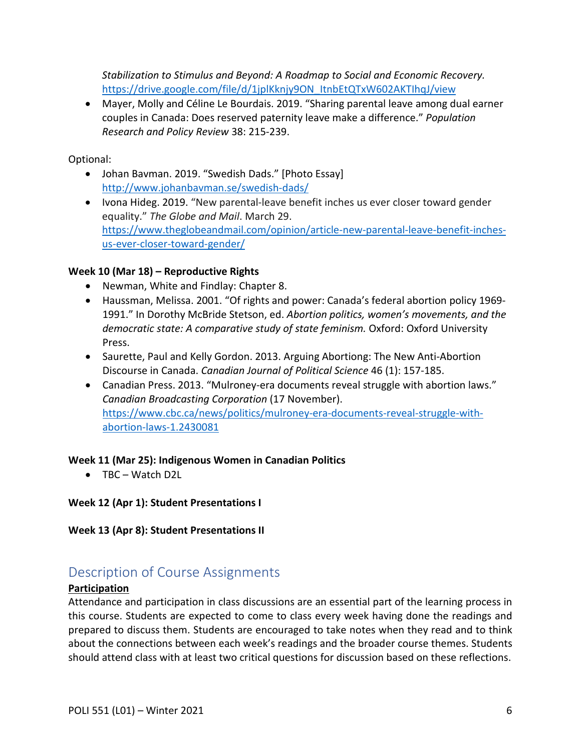*Stabilization to Stimulus and Beyond: A Roadmap to Social and Economic Recovery.* [https://drive.google.com/file/d/1jplKknjy9ON\\_ItnbEtQTxW602AKTIhqJ/view](https://drive.google.com/file/d/1jplKknjy9ON_ItnbEtQTxW602AKTIhqJ/view)

• Mayer, Molly and Céline Le Bourdais. 2019. "Sharing parental leave among dual earner couples in Canada: Does reserved paternity leave make a difference." *Population Research and Policy Review* 38: 215-239.

### Optional:

- Johan Bavman. 2019. "Swedish Dads." [Photo Essay] <http://www.johanbavman.se/swedish-dads/>
- Ivona Hideg. 2019. "New parental-leave benefit inches us ever closer toward gender equality." *The Globe and Mail*. March 29. [https://www.theglobeandmail.com/opinion/article-new-parental-leave-benefit-inches](https://www.theglobeandmail.com/opinion/article-new-parental-leave-benefit-inches-us-ever-closer-toward-gender/)[us-ever-closer-toward-gender/](https://www.theglobeandmail.com/opinion/article-new-parental-leave-benefit-inches-us-ever-closer-toward-gender/)

## **Week 10 (Mar 18) – Reproductive Rights**

- Newman, White and Findlay: Chapter 8.
- Haussman, Melissa. 2001. "Of rights and power: Canada's federal abortion policy 1969- 1991." In Dorothy McBride Stetson, ed. *Abortion politics, women's movements, and the democratic state: A comparative study of state feminism.* Oxford: Oxford University Press.
- Saurette, Paul and Kelly Gordon. 2013. Arguing Abortiong: The New Anti-Abortion Discourse in Canada. *Canadian Journal of Political Science* 46 (1): 157-185.
- Canadian Press. 2013. "Mulroney-era documents reveal struggle with abortion laws." *Canadian Broadcasting Corporation* (17 November). [https://www.cbc.ca/news/politics/mulroney-era-documents-reveal-struggle-with](https://www.cbc.ca/news/politics/mulroney-era-documents-reveal-struggle-with-abortion-laws-1.2430081)[abortion-laws-1.2430081](https://www.cbc.ca/news/politics/mulroney-era-documents-reveal-struggle-with-abortion-laws-1.2430081)

### **Week 11 (Mar 25): Indigenous Women in Canadian Politics**

• TBC – Watch D2L

**Week 12 (Apr 1): Student Presentations I**

**Week 13 (Apr 8): Student Presentations II**

# <span id="page-5-0"></span>Description of Course Assignments

### **Participation**

Attendance and participation in class discussions are an essential part of the learning process in this course. Students are expected to come to class every week having done the readings and prepared to discuss them. Students are encouraged to take notes when they read and to think about the connections between each week's readings and the broader course themes. Students should attend class with at least two critical questions for discussion based on these reflections.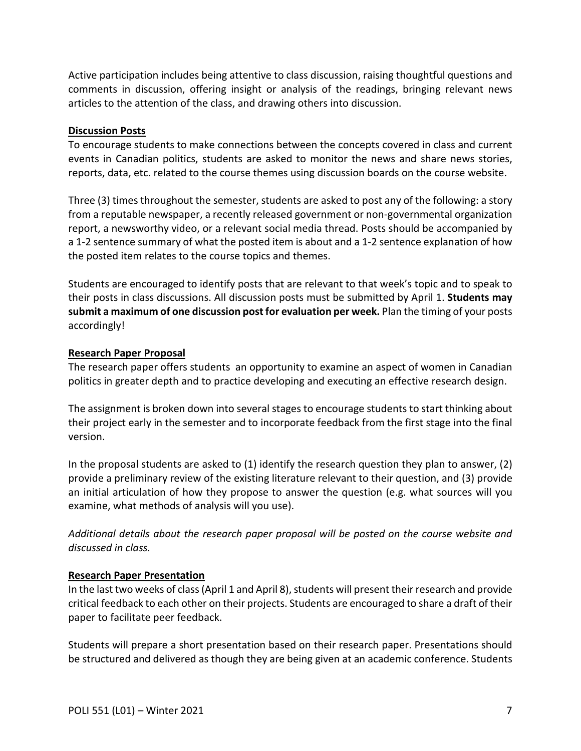Active participation includes being attentive to class discussion, raising thoughtful questions and comments in discussion, offering insight or analysis of the readings, bringing relevant news articles to the attention of the class, and drawing others into discussion.

### **Discussion Posts**

To encourage students to make connections between the concepts covered in class and current events in Canadian politics, students are asked to monitor the news and share news stories, reports, data, etc. related to the course themes using discussion boards on the course website.

Three (3) times throughout the semester, students are asked to post any of the following: a story from a reputable newspaper, a recently released government or non-governmental organization report, a newsworthy video, or a relevant social media thread. Posts should be accompanied by a 1-2 sentence summary of what the posted item is about and a 1-2 sentence explanation of how the posted item relates to the course topics and themes.

Students are encouraged to identify posts that are relevant to that week's topic and to speak to their posts in class discussions. All discussion posts must be submitted by April 1. **Students may submit a maximum of one discussion post for evaluation per week.** Plan the timing of your posts accordingly!

### **Research Paper Proposal**

The research paper offers students an opportunity to examine an aspect of women in Canadian politics in greater depth and to practice developing and executing an effective research design.

The assignment is broken down into several stages to encourage students to start thinking about their project early in the semester and to incorporate feedback from the first stage into the final version.

In the proposal students are asked to (1) identify the research question they plan to answer, (2) provide a preliminary review of the existing literature relevant to their question, and (3) provide an initial articulation of how they propose to answer the question (e.g. what sources will you examine, what methods of analysis will you use).

*Additional details about the research paper proposal will be posted on the course website and discussed in class.*

## **Research Paper Presentation**

In the last two weeks of class(April 1 and April 8), students will present their research and provide critical feedback to each other on their projects. Students are encouraged to share a draft of their paper to facilitate peer feedback.

Students will prepare a short presentation based on their research paper. Presentations should be structured and delivered as though they are being given at an academic conference. Students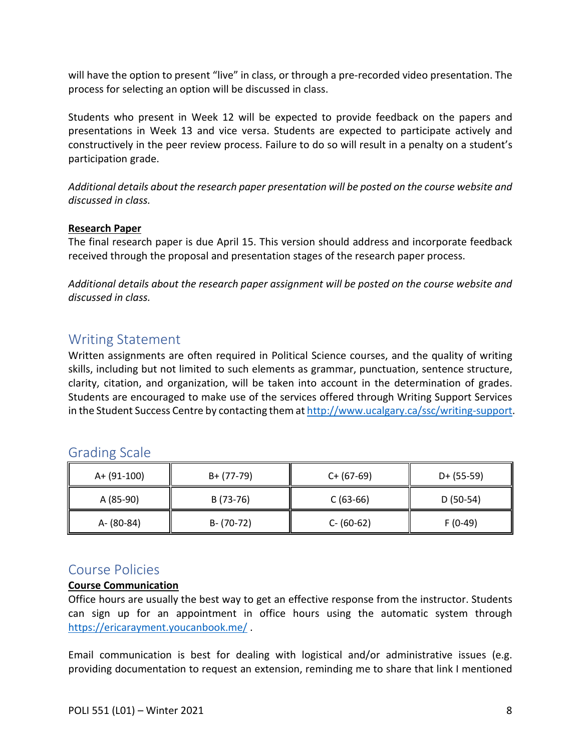will have the option to present "live" in class, or through a pre-recorded video presentation. The process for selecting an option will be discussed in class.

Students who present in Week 12 will be expected to provide feedback on the papers and presentations in Week 13 and vice versa. Students are expected to participate actively and constructively in the peer review process. Failure to do so will result in a penalty on a student's participation grade.

*Additional details about the research paper presentation will be posted on the course website and discussed in class.*

## **Research Paper**

The final research paper is due April 15. This version should address and incorporate feedback received through the proposal and presentation stages of the research paper process.

*Additional details about the research paper assignment will be posted on the course website and discussed in class.*

## <span id="page-7-0"></span>Writing Statement

Written assignments are often required in Political Science courses, and the quality of writing skills, including but not limited to such elements as grammar, punctuation, sentence structure, clarity, citation, and organization, will be taken into account in the determination of grades. Students are encouraged to make use of the services offered through Writing Support Services in the Student Success Centre by contacting them a[t http://www.ucalgary.ca/ssc/writing-support.](http://www.ucalgary.ca/ssc/writing-support)

| A+ (91-100) | $B+ (77-79)$  | $C+ (67-69)$  | $D+ (55-59)$ |
|-------------|---------------|---------------|--------------|
| A (85-90)   | B (73-76)     | $C(63-66)$    | $D(50-54)$   |
| A- (80-84)  | $B - (70-72)$ | $C - (60-62)$ | $F(0-49)$    |

## <span id="page-7-1"></span>Grading Scale

## <span id="page-7-2"></span>Course Policies

## **Course Communication**

Office hours are usually the best way to get an effective response from the instructor. Students can sign up for an appointment in office hours using the automatic system through <https://ericarayment.youcanbook.me/> .

Email communication is best for dealing with logistical and/or administrative issues (e.g. providing documentation to request an extension, reminding me to share that link I mentioned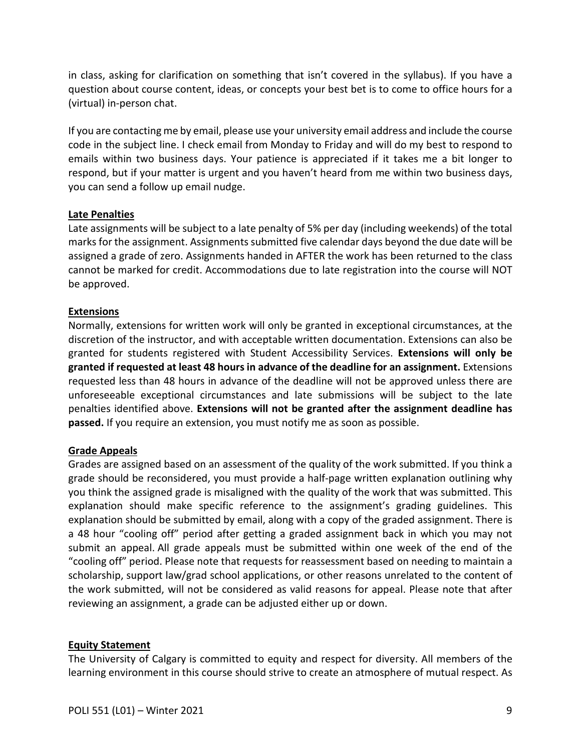in class, asking for clarification on something that isn't covered in the syllabus). If you have a question about course content, ideas, or concepts your best bet is to come to office hours for a (virtual) in-person chat.

If you are contacting me by email, please use your university email address and include the course code in the subject line. I check email from Monday to Friday and will do my best to respond to emails within two business days. Your patience is appreciated if it takes me a bit longer to respond, but if your matter is urgent and you haven't heard from me within two business days, you can send a follow up email nudge.

### **Late Penalties**

Late assignments will be subject to a late penalty of 5% per day (including weekends) of the total marks for the assignment. Assignments submitted five calendar days beyond the due date will be assigned a grade of zero. Assignments handed in AFTER the work has been returned to the class cannot be marked for credit. Accommodations due to late registration into the course will NOT be approved.

### **Extensions**

Normally, extensions for written work will only be granted in exceptional circumstances, at the discretion of the instructor, and with acceptable written documentation. Extensions can also be granted for students registered with Student Accessibility Services. **Extensions will only be granted if requested at least 48 hours in advance of the deadline for an assignment.** Extensions requested less than 48 hours in advance of the deadline will not be approved unless there are unforeseeable exceptional circumstances and late submissions will be subject to the late penalties identified above. **Extensions will not be granted after the assignment deadline has passed.** If you require an extension, you must notify me as soon as possible.

## **Grade Appeals**

Grades are assigned based on an assessment of the quality of the work submitted. If you think a grade should be reconsidered, you must provide a half-page written explanation outlining why you think the assigned grade is misaligned with the quality of the work that was submitted. This explanation should make specific reference to the assignment's grading guidelines. This explanation should be submitted by email, along with a copy of the graded assignment. There is a 48 hour "cooling off" period after getting a graded assignment back in which you may not submit an appeal. All grade appeals must be submitted within one week of the end of the "cooling off" period. Please note that requests for reassessment based on needing to maintain a scholarship, support law/grad school applications, or other reasons unrelated to the content of the work submitted, will not be considered as valid reasons for appeal. Please note that after reviewing an assignment, a grade can be adjusted either up or down.

### **Equity Statement**

The University of Calgary is committed to equity and respect for diversity. All members of the learning environment in this course should strive to create an atmosphere of mutual respect. As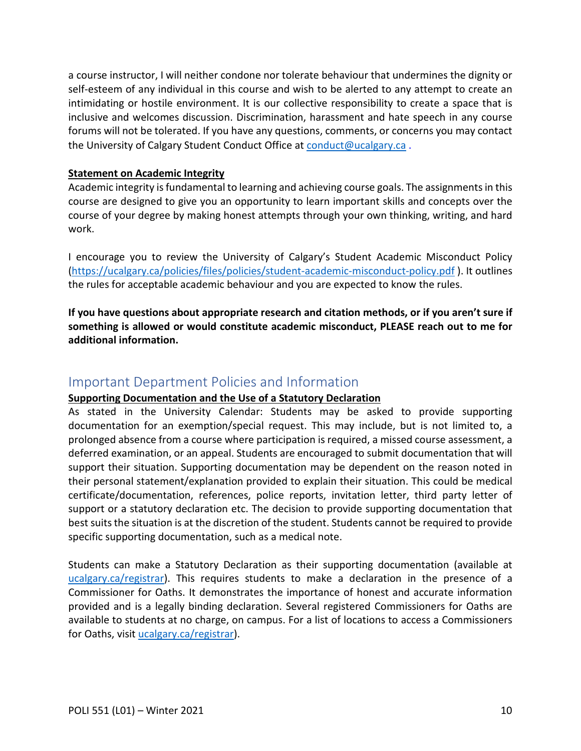a course instructor, I will neither condone nor tolerate behaviour that undermines the dignity or self-esteem of any individual in this course and wish to be alerted to any attempt to create an intimidating or hostile environment. It is our collective responsibility to create a space that is inclusive and welcomes discussion. Discrimination, harassment and hate speech in any course forums will not be tolerated. If you have any questions, comments, or concerns you may contact the University of Calgary Student Conduct Office at [conduct@ucalgary.ca](mailto:conduct@ucalgary.ca).

### **Statement on Academic Integrity**

Academic integrity is fundamental to learning and achieving course goals. The assignments in this course are designed to give you an opportunity to learn important skills and concepts over the course of your degree by making honest attempts through your own thinking, writing, and hard work.

I encourage you to review the University of Calgary's Student Academic Misconduct Policy [\(https://ucalgary.ca/policies/files/policies/student-academic-misconduct-policy.pdf](https://ucalgary.ca/policies/files/policies/student-academic-misconduct-policy.pdf) ). It outlines the rules for acceptable academic behaviour and you are expected to know the rules.

**If you have questions about appropriate research and citation methods, or if you aren't sure if something is allowed or would constitute academic misconduct, PLEASE reach out to me for additional information.** 

## <span id="page-9-0"></span>Important Department Policies and Information

## **Supporting Documentation and the Use of a Statutory Declaration**

As stated in the University Calendar: Students may be asked to provide supporting documentation for an exemption/special request. This may include, but is not limited to, a prolonged absence from a course where participation is required, a missed course assessment, a deferred examination, or an appeal. Students are encouraged to submit documentation that will support their situation. Supporting documentation may be dependent on the reason noted in their personal statement/explanation provided to explain their situation. This could be medical certificate/documentation, references, police reports, invitation letter, third party letter of support or a statutory declaration etc. The decision to provide supporting documentation that best suits the situation is at the discretion of the student. Students cannot be required to provide specific supporting documentation, such as a medical note.

Students can make a Statutory Declaration as their supporting documentation (available at [ucalgary.ca/registrar\)](http://www.ucalgary.ca/registrar). This requires students to make a declaration in the presence of a Commissioner for Oaths. It demonstrates the importance of honest and accurate information provided and is a legally binding declaration. Several registered Commissioners for Oaths are available to students at no charge, on campus. For a list of locations to access a Commissioners for Oaths, visit [ucalgary.ca/registrar\)](http://www.ucalgary.ca/registrar).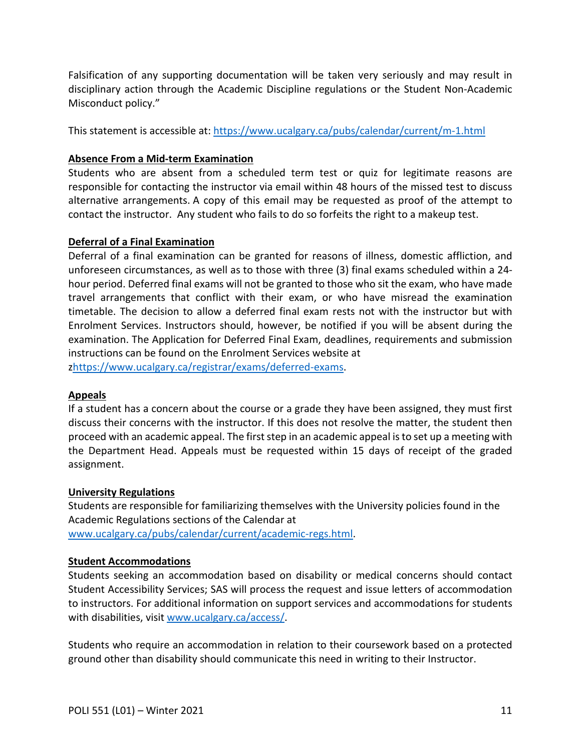Falsification of any supporting documentation will be taken very seriously and may result in disciplinary action through the Academic Discipline regulations or the Student Non-Academic Misconduct policy."

This statement is accessible at:<https://www.ucalgary.ca/pubs/calendar/current/m-1.html>

### **Absence From a Mid-term Examination**

Students who are absent from a scheduled term test or quiz for legitimate reasons are responsible for contacting the instructor via email within 48 hours of the missed test to discuss alternative arrangements. A copy of this email may be requested as proof of the attempt to contact the instructor. Any student who fails to do so forfeits the right to a makeup test.

### **Deferral of a Final Examination**

Deferral of a final examination can be granted for reasons of illness, domestic affliction, and unforeseen circumstances, as well as to those with three (3) final exams scheduled within a 24 hour period. Deferred final exams will not be granted to those who sit the exam, who have made travel arrangements that conflict with their exam, or who have misread the examination timetable. The decision to allow a deferred final exam rests not with the instructor but with Enrolment Services. Instructors should, however, be notified if you will be absent during the examination. The Application for Deferred Final Exam, deadlines, requirements and submission instructions can be found on the Enrolment Services website at [zhttps://www.ucalgary.ca/registrar/exams/deferred-exams.](https://www.ucalgary.ca/registrar/exams/deferred-exams)

### **Appeals**

If a student has a concern about the course or a grade they have been assigned, they must first discuss their concerns with the instructor. If this does not resolve the matter, the student then proceed with an academic appeal. The first step in an academic appeal is to set up a meeting with the Department Head. Appeals must be requested within 15 days of receipt of the graded assignment.

### **University Regulations**

Students are responsible for familiarizing themselves with the University policies found in the Academic Regulations sections of the Calendar at [www.ucalgary.ca/pubs/calendar/current/academic-regs.html.](http://www.ucalgary.ca/pubs/calendar/current/academic-regs.html)

### **Student Accommodations**

Students seeking an accommodation based on disability or medical concerns should contact Student Accessibility Services; SAS will process the request and issue letters of accommodation to instructors. For additional information on support services and accommodations for students with disabilities, visit [www.ucalgary.ca/access/.](http://www.ucalgary.ca/access/)

Students who require an accommodation in relation to their coursework based on a protected ground other than disability should communicate this need in writing to their Instructor.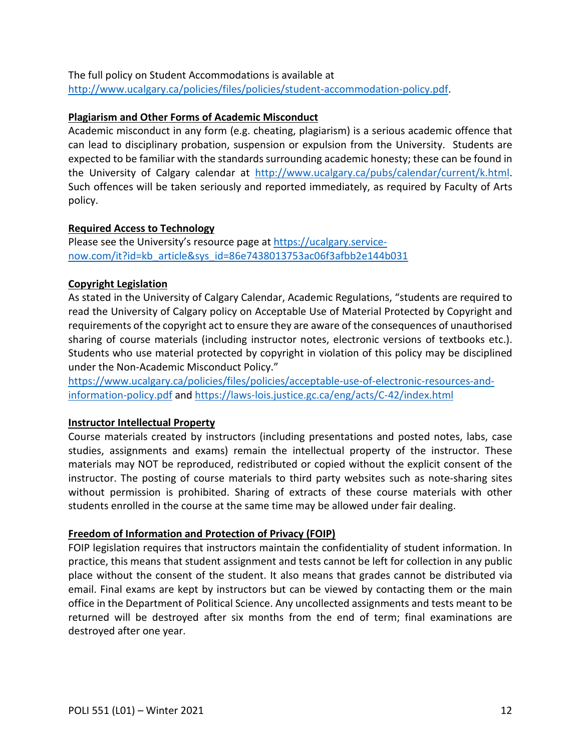The full policy on Student Accommodations is available at [http://www.ucalgary.ca/policies/files/policies/student-accommodation-policy.pdf.](http://www.ucalgary.ca/policies/files/policies/student-accommodation-policy.pdf)

#### **Plagiarism and Other Forms of Academic Misconduct**

Academic misconduct in any form (e.g. cheating, plagiarism) is a serious academic offence that can lead to disciplinary probation, suspension or expulsion from the University. Students are expected to be familiar with the standards surrounding academic honesty; these can be found in the University of Calgary calendar at [http://www.ucalgary.ca/pubs/calendar/current/k.html.](http://www.ucalgary.ca/pubs/calendar/current/k.html) Such offences will be taken seriously and reported immediately, as required by Faculty of Arts policy.

### **Required Access to Technology**

Please see the University's resource page at [https://ucalgary.service](https://ucalgary.service-now.com/it?id=kb_article&sys_id=86e7438013753ac06f3afbb2e144b031)[now.com/it?id=kb\\_article&sys\\_id=86e7438013753ac06f3afbb2e144b031](https://ucalgary.service-now.com/it?id=kb_article&sys_id=86e7438013753ac06f3afbb2e144b031)

### **Copyright Legislation**

As stated in the University of Calgary Calendar, Academic Regulations, "students are required to read the University of Calgary policy on Acceptable Use of Material Protected by Copyright and requirements of the copyright act to ensure they are aware of the consequences of unauthorised sharing of course materials (including instructor notes, electronic versions of textbooks etc.). Students who use material protected by copyright in violation of this policy may be disciplined under the Non-Academic Misconduct Policy."

[https://www.ucalgary.ca/policies/files/policies/acceptable-use-of-electronic-resources-and](https://www.ucalgary.ca/policies/files/policies/acceptable-use-of-electronic-resources-and-information-policy.pdf)[information-policy.pdf](https://www.ucalgary.ca/policies/files/policies/acceptable-use-of-electronic-resources-and-information-policy.pdf) and<https://laws-lois.justice.gc.ca/eng/acts/C-42/index.html>

### **Instructor Intellectual Property**

Course materials created by instructors (including presentations and posted notes, labs, case studies, assignments and exams) remain the intellectual property of the instructor. These materials may NOT be reproduced, redistributed or copied without the explicit consent of the instructor. The posting of course materials to third party websites such as note-sharing sites without permission is prohibited. Sharing of extracts of these course materials with other students enrolled in the course at the same time may be allowed under fair dealing.

## **Freedom of Information and Protection of Privacy (FOIP)**

FOIP legislation requires that instructors maintain the confidentiality of student information. In practice, this means that student assignment and tests cannot be left for collection in any public place without the consent of the student. It also means that grades cannot be distributed via email. Final exams are kept by instructors but can be viewed by contacting them or the main office in the Department of Political Science. Any uncollected assignments and tests meant to be returned will be destroyed after six months from the end of term; final examinations are destroyed after one year.